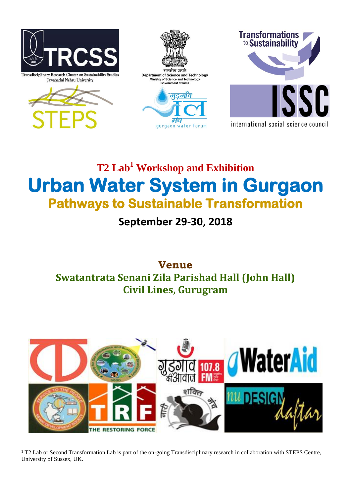

Transdisciplinary Research Cluster on Sustainability Stud Jawaharlal Nehru University





gurgaon water forum



**T2 Lab<sup>1</sup> Workshop and Exhibition Urban Water System in Gurgaon Pathways to Sustainable Transformation**

**September 29-30, 2018**

# **Venue Swatantrata Senani Zila Parishad Hall (John Hall) Civil Lines, Gurugram**



 <sup>1</sup> T2 Lab or Second Transformation Lab is part of the on-going Transdisciplinary research in collaboration with STEPS Centre, University of Sussex, UK.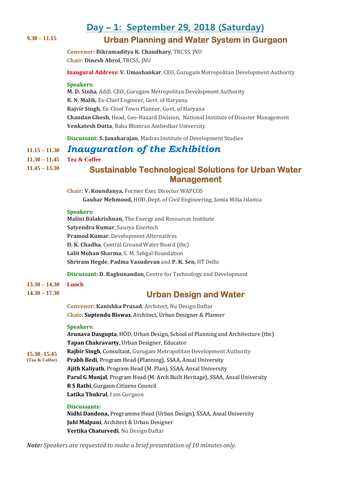# **Day – 1: September 29, 2018 (Saturday) 9.30 – 11.15 Urban Planning and Water System in Gurgaon**

**Convenor: Bikramaditya K. Chaudhary**, TRCSS, JNU **Chair: Dinesh Abrol**, TRCSS, JNU

**Inaugural Address: V. Umashankar**, CEO, Gurugam Metropolitan Development Authority

#### **Speakers:**

**M. D. Sinha**, Addl. CEO, Gurugam Metropolitan Development Authority **R. N. Malik**, Ex-Chief Engineer, Govt. of Haryana **Rajvir Singh**, Ex-Chief Town Planner, Govt. of Haryana **Chandan Ghosh**, Head, Geo-Hazard Division, National Institute of Disaster Management **Venkatesh Dutta**, Baba Bhimrao Ambedkar University

**Discussant: S. Janakarajan**, Madras Institute of Development Studies

# **11.15 – 11.30** *Inauguration of the Exhibition*

### **11.30 – 11.45 Tea & Coffee**

# **11.45 – 13.30 Sustainable Technological Solutions for Urban Water Management**

**Chair: V. Koundanya,** Former Exec Director WAPCOS  **Gauhar Mehmood,** HOD, Dept. of Civil Engineering, Jamia Milia Islamia

### **Speakers:**

**Malini Balakrishnan,** The Energy and Resources Institute **Satyendra Kumar**, Saurya Enertech **Pramod Kumar**, Development Alternatives **D. K. Chadha**, Central Ground Water Board (tbc) **Lalit Mohan Sharma**, S. M. Sehgal Foundation **Shriram Hegde**, **Padma Vasudevan** and **P. K. Sen**, IIT Delhi

**Discussant: D. Raghunandan**, Centre for Technology and Development

- **13.30 – 14.30 Lunch**
- **14.30 – 17.30**

## **Urban Design and Water**

**Convenor: Kanishka Prasad**, Architect, Nu Design Daftar **Chair: Suptendu Biswas**, Architect, Urban Designer & Planner

#### **Speakers:**

**15.30 -15.45 (Tea & Coffee) Arunava Dasgupta**, HOD, Urban Design, School of Planning and Architecture (tbc) **Tapan Chakravarty**, Urban Designer, Educator **Rajbir Singh**, Consultant, Gurugam Metropolitan Development Authority **Prabh Bedi**, Program Head (Planning), SSAA, Ansal University **Ajith Kaliyath**, Program Head (M. Plan), SSAA, Ansal University **Parul G Munjal**, Program Head (M. Arch Built Heritage), SSAA, Ansal University **R S Rathi**, Gurgaon Citizens Council **Latika Thukral**, I am Gurgaon

#### **Discussants:**

**Nidhi Dandona,** Programme Head (Urban Design), SSAA, Ansal University **Juhi Malpani**, Architect & Urban Designer **Vertika Chaturvedi**, Nu Design Daftar

*Note: Speakers are requested to make a brief presentation of 10 minutes only.*